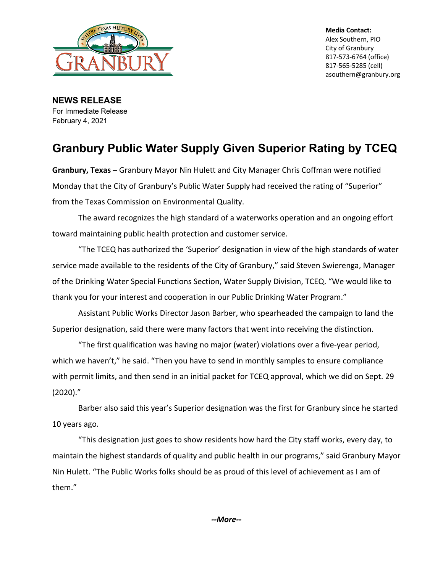

**Media Contact:** Alex Southern, PIO City of Granbury 817-573-6764 (office) 817-565-5285 (cell) asouthern@granbury.org

**NEWS RELEASE** For Immediate Release February 4, 2021

## **Granbury Public Water Supply Given Superior Rating by TCEQ**

**Granbury, Texas –** Granbury Mayor Nin Hulett and City Manager Chris Coffman were notified Monday that the City of Granbury's Public Water Supply had received the rating of "Superior" from the Texas Commission on Environmental Quality.

The award recognizes the high standard of a waterworks operation and an ongoing effort toward maintaining public health protection and customer service.

"The TCEQ has authorized the 'Superior' designation in view of the high standards of water service made available to the residents of the City of Granbury," said Steven Swierenga, Manager of the Drinking Water Special Functions Section, Water Supply Division, TCEQ. "We would like to thank you for your interest and cooperation in our Public Drinking Water Program."

Assistant Public Works Director Jason Barber, who spearheaded the campaign to land the Superior designation, said there were many factors that went into receiving the distinction.

"The first qualification was having no major (water) violations over a five-year period, which we haven't," he said. "Then you have to send in monthly samples to ensure compliance with permit limits, and then send in an initial packet for TCEQ approval, which we did on Sept. 29 (2020)."

Barber also said this year's Superior designation was the first for Granbury since he started 10 years ago.

"This designation just goes to show residents how hard the City staff works, every day, to maintain the highest standards of quality and public health in our programs," said Granbury Mayor Nin Hulett. "The Public Works folks should be as proud of this level of achievement as I am of them."

*--More--*